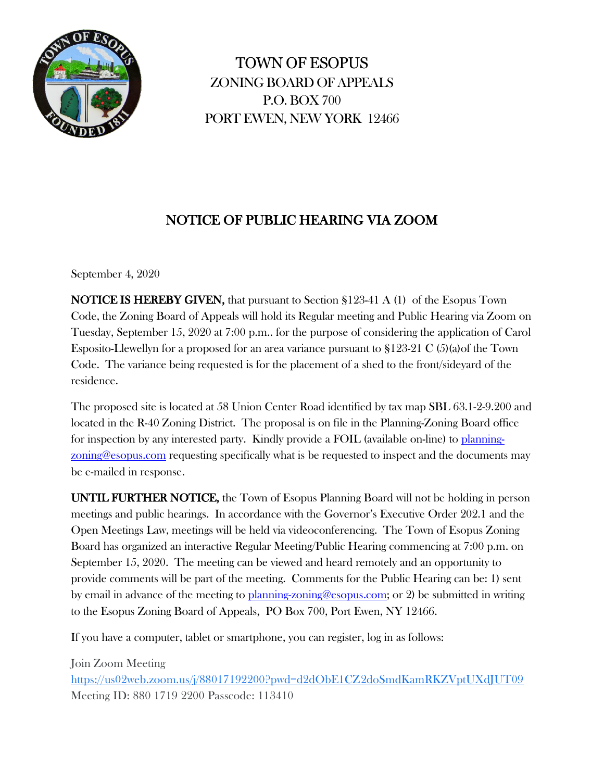

TOWN OF ESOPUS ZONING BOARD OF APPEALS P.O. BOX 700 PORT EWEN, NEW YORK 12466

## NOTICE OF PUBLIC HEARING VIA ZOOM

September 4, 2020

NOTICE IS HEREBY GIVEN, that pursuant to Section §123-41 A (1) of the Esopus Town Code, the Zoning Board of Appeals will hold its Regular meeting and Public Hearing via Zoom on Tuesday, September 15, 2020 at 7:00 p.m.. for the purpose of considering the application of Carol Esposito-Llewellyn for a proposed for an area variance pursuant to §123-21 C (5)(a)of the Town Code. The variance being requested is for the placement of a shed to the front/sideyard of the residence.

The proposed site is located at 58 Union Center Road identified by tax map SBL 63.1-2-9.200 and located in the R-40 Zoning District. The proposal is on file in the Planning-Zoning Board office for inspection by any interested party. Kindly provide a FOIL (available on-line) to [planning](mailto:planning-zoning@esopus.com)[zoning@esopus.com](mailto:planning-zoning@esopus.com) requesting specifically what is be requested to inspect and the documents may be e-mailed in response.

UNTIL FURTHER NOTICE, the Town of Esopus Planning Board will not be holding in person meetings and public hearings. In accordance with the Governor's Executive Order 202.1 and the Open Meetings Law, meetings will be held via videoconferencing. The Town of Esopus Zoning Board has organized an interactive Regular Meeting/Public Hearing commencing at 7:00 p.m. on September 15, 2020. The meeting can be viewed and heard remotely and an opportunity to provide comments will be part of the meeting. Comments for the Public Hearing can be: 1) sent by email in advance of the meeting to [planning-zoning@esopus.com;](mailto:planning-zoning@esopus.com) or 2) be submitted in writing to the Esopus Zoning Board of Appeals, PO Box 700, Port Ewen, NY 12466.

If you have a computer, tablet or smartphone, you can register, log in as follows:

Join Zoom Meeting [https://us02web.zoom.us/j/88017192200?pwd=d2dObE1CZ2doSmdKamRKZVptUXdJUT09](https://www.google.com/url?q=https://us02web.zoom.us/j/88017192200?pwd%3Dd2dObE1CZ2doSmdKamRKZVptUXdJUT09&sa=D&source=calendar&ust=1599662988384000&usg=AOvVaw0EMO4WhSKy1eZTJxSfok_X) Meeting ID: 880 1719 2200 Passcode: 113410